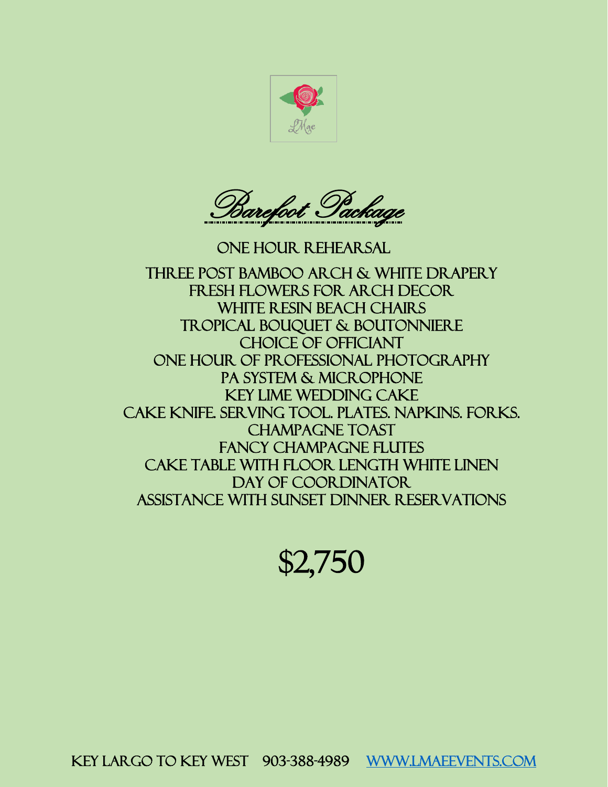



One hour rehearsal Three post bamboo arch & White drapery fresh flowers for arch decor WHITE RESIN BEACH CHAIRS Tropical bouquet & boutonniere Choice of officiant One hour of professional photography Pa system & microphone Key lime wedding cake Cake knife. serving tool. Plates. Napkins. Forks. Champagne toast Fancy champagne flutes Cake table with floor length white linen DAY OF COORDINATOR Assistance with sunset dinner reservations

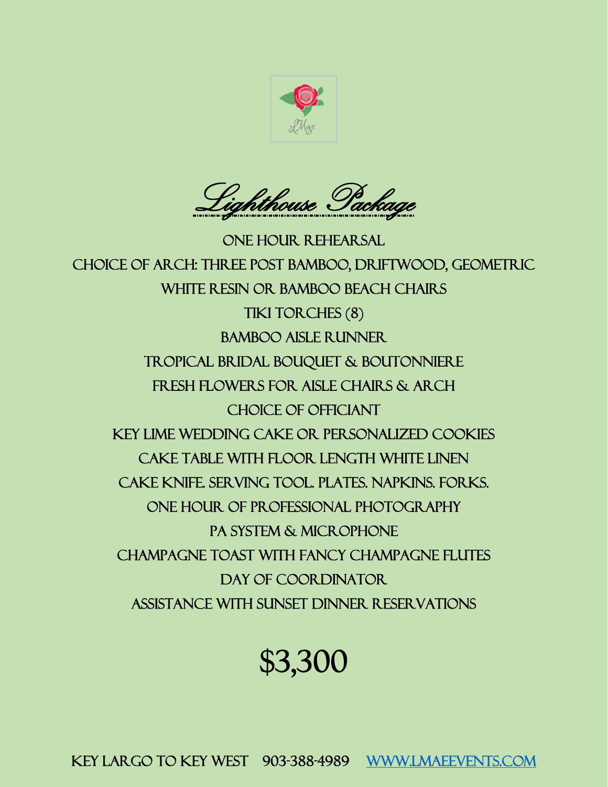

Lighthouse Package

One hour rehearsal Choice of arch: Three post bamboo, driftwood, geometric White resin or bamboo beach chairs TIKI TORCHES (8) Bamboo aisle runner Tropical bridal bouquet & Boutonniere Fresh flowers for aisle chairs & Arch Choice of officiant Key lime wedding cake or personalized cookies Cake table with floor length white linen Cake knife. Serving tool. Plates. Napkins. Forks. One hour of professional photography PA SYSTEM & MICROPHONE Champagne toast with fancy champagne flutes DAY OF COORDINATOR Assistance with sunset dinner reservations

## \$3,300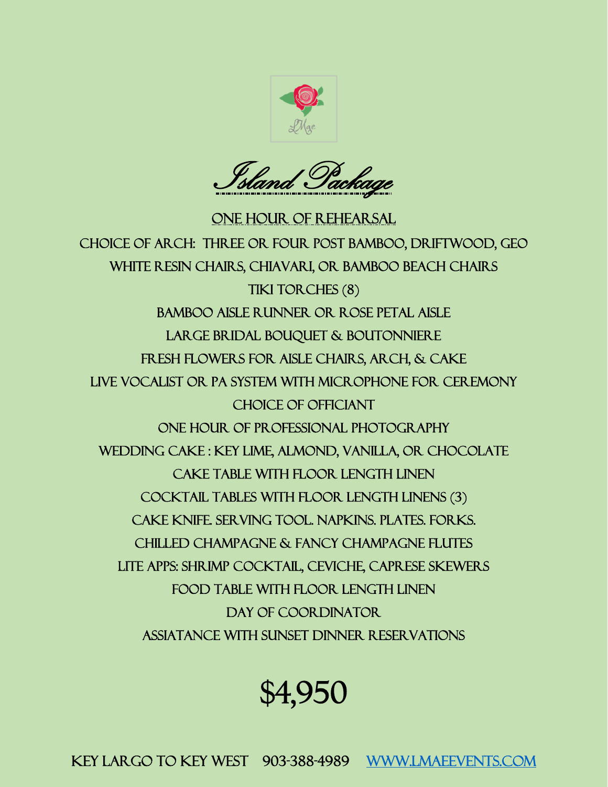

Island Package

One hour of rehearsal Choice of arch: three or four post bamboo, driftwood, geo white resin chairs, chiavari, or bamboo beach chairs tiki torches (8) bamboo aisle runner or rose petal aisle large bridal bouquet & boutonniere fresh flowers for aisle chairs, arch, & cake live vocalist or pa system with microphone for ceremony choice of officiant one hour of professional photography wedding cake : Key lime, almond, vanilla, or chocolate cake table with floor length linen cocktail tables with floor length linens (3) cake knife. Serving tool. Napkins. Plates. Forks. Chilled champagne & fancy champagne flutes Lite apps: shrimp cocktail, ceviche, caprese skewers Food table with floor length linen DAY OF COORDINATOR. Assiatance with sunset dinner reservations

## \$4,950